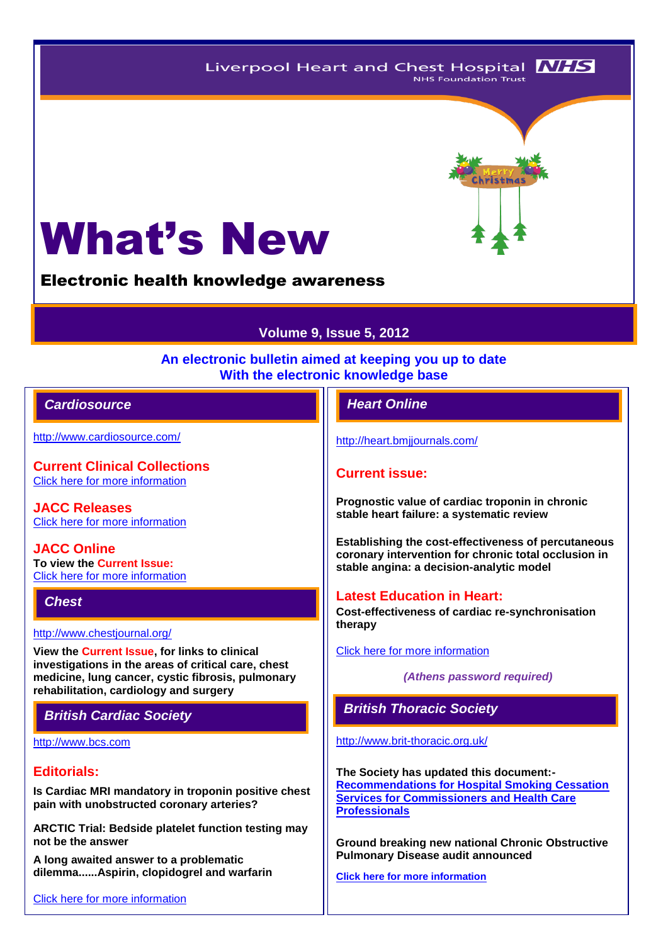Liverpool Heart and Chest Hospital **NHS NHS Foundation Trust** 

# What's New

Electronic health knowledge awareness

# **Volume 9, Issue 5, 2012**

#### **An electronic bulletin aimed at keeping you up to date With the electronic knowledge base**

## *Cardiosource Heart Online*

<http://www.cardiosource.com/>

**Current Clinical Collections** [Click here for more information](http://www.cardiosource.org/science-and-quality/clinical-collections.aspx)

**JACC Releases** [Click here for more information](http://www.cardiosource.org/news-media/media-center/jacc-releases.aspx)

**JACC Online To view the Current Issue:** [Click here for more information](http://content.onlinejacc.org/current.dtl)

#### *Chest*

<http://www.chestjournal.org/>

**View the Current Issue, for links to clinical investigations in the areas of critical care, chest medicine, lung cancer, cystic fibrosis, pulmonary rehabilitation, cardiology and surgery**

[http://www.bcs.com](http://www.bcs.com/)

## **Editorials:**

**Is Cardiac MRI mandatory in troponin positive chest pain with unobstructed coronary arteries?**

**ARCTIC Trial: Bedside platelet function testing may not be the answer**

**A long awaited answer to a problematic dilemma......Aspirin, clopidogrel and warfarin**

[Click here for more information](http://www.bcs.com/editorial/editorial.asp)

<http://heart.bmjjournals.com/>

#### **Current issue:**

**Prognostic value of cardiac troponin in chronic stable heart failure: a systematic review**

**Establishing the cost-effectiveness of percutaneous coronary intervention for chronic total occlusion in stable angina: a decision-analytic model**

#### **Latest Education in Heart:**

**Cost-effectiveness of cardiac re-synchronisation therapy**

[Click here for more information](http://heart.bmj.com/site/about/education.xhtml) 

*(Athens password required)*

# *British Cardiac Society British Thoracic Society*

<http://www.brit-thoracic.org.uk/>

**The Society has updated this document:- [Recommendations for Hospital Smoking Cessation](http://www.brit-thoracic.org.uk/LinkClick.aspx?fileticket=061N5pS_uHQ%3d&tabid=215)  [Services for Commissioners and Health Care](http://www.brit-thoracic.org.uk/LinkClick.aspx?fileticket=061N5pS_uHQ%3d&tabid=215)  [Professionals](http://www.brit-thoracic.org.uk/LinkClick.aspx?fileticket=061N5pS_uHQ%3d&tabid=215)**

**Ground breaking new national Chronic Obstructive Pulmonary Disease audit announced**

**[Click here for more information](http://www.rcplondon.ac.uk/press-releases/ground-breaking-new-national-chronic-obstructive-pulmonary-disease-audit-announced)**

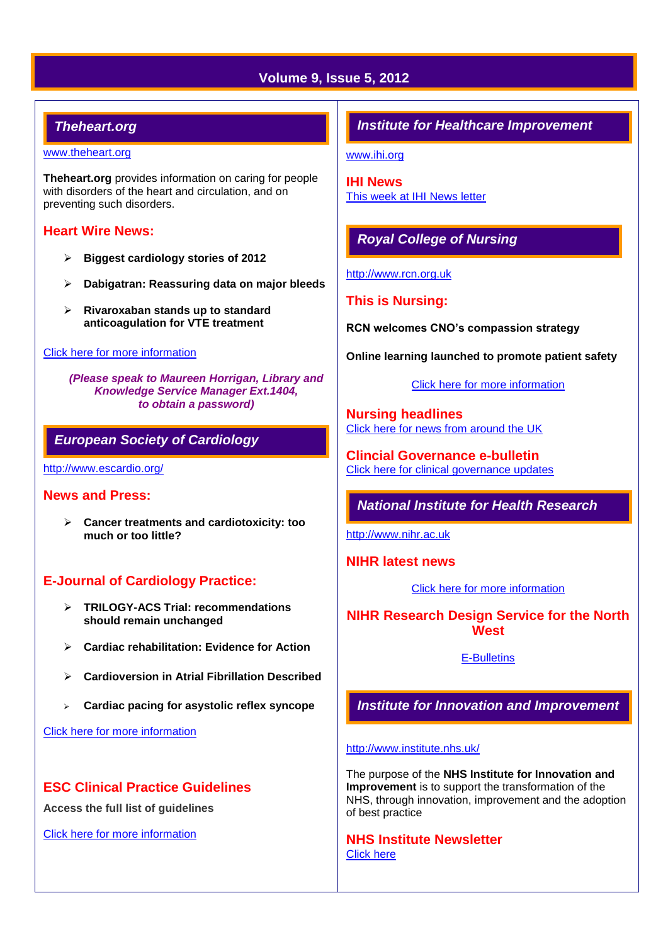# **Volume 9, Issue 5, 2012**

## *Theheart.org*

#### [www.theheart.org](http://www.theheart.org/)

**Theheart.org** provides information on caring for people with disorders of the heart and circulation, and on preventing such disorders.

#### **Heart Wire News:**

- **Biggest cardiology stories of 2012**
- **Dabigatran: Reassuring data on major bleeds**
- **Rivaroxaban stands up to standard anticoagulation for VTE treatment**

#### [Click here for more information](http://www.theheart.org/section/heartwire.do)

*(Please speak to Maureen Horrigan, Library and Knowledge Service Manager Ext.1404, to obtain a password)*

#### *European Society of Cardiology*

<http://www.escardio.org/>

#### **News and Press:**

 **Cancer treatments and cardiotoxicity: too much or too little?**

#### **E-Journal of Cardiology Practice:**

- **TRILOGY-ACS Trial: recommendations should remain unchanged**
- **Cardiac rehabilitation: Evidence for Action**
- **Cardioversion in Atrial Fibrillation Described**
- **Cardiac pacing for asystolic reflex syncope**

[Click here for more information](http://www.escardio.org/communities/councils/ccp/e-journal/volume11/Pages/welcome.aspx)

#### **ESC Clinical Practice Guidelines**

**Access the full list of guidelines** 

[Click here for more information](http://www.escardio.org/guidelines-surveys/esc-guidelines/Pages/GuidelinesList.aspx)

#### *Institute for Healthcare Improvement*

[www.ihi.org](http://www.ihi.org/)

**IHI News**  [This week at IHI](http://www.ihi.org/Documents/ThisWeekatIHI.htm) News letter

## *Royal College of Nursing*

[http://www.rcn.org.uk](http://www.rcn.org.uk/)

#### **This is Nursing:**

**RCN welcomes CNO's compassion strategy**

**Online learning launched to promote patient safety**

[Click here for more information](http://thisisnursing.rcn.org.uk/members/)

**Nursing headlines** [Click here for news from around the UK](http://www.rcn.org.uk/newsevents/news)

**Clincial Governance e-bulletin** [Click here for clinical governance updates](http://www.rcn.org.uk/development/practice/clinical_governance/quality_and_safety_e-bulletin/e-bulletin_archive)

*National Institute for Health Research* 

[http://www.nihr.ac.uk](http://www.nihr.ac.uk/)

**NIHR latest news**

[Click here for more information](http://www.nihr.ac.uk/news/Pages/default.aspx)

#### **NIHR Research Design Service for the North West**

[E-Bulletins](http://www.rds-nw.nihr.ac.uk/newstrainingevents/ebulletin.php)

*Institute for Innovation and Improvement*

#### <http://www.institute.nhs.uk/>

The purpose of the **NHS Institute for Innovation and Improvement** is to support the transformation of the NHS, through innovation, improvement and the adoption of best practice

**NHS Institute Newsletter**  [Click here](http://www.institute.nhs.uk/organisation/general/nhs_institute_newsletters.html)